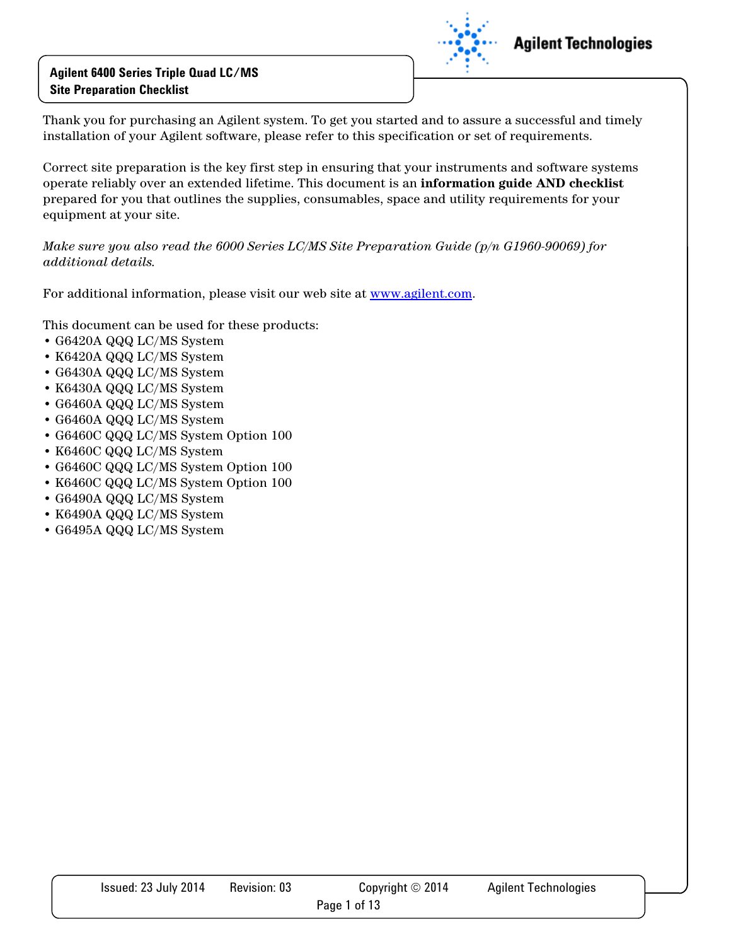

Thank you for purchasing an Agilent system. To get you started and to assure a successful and timely installation of your Agilent software, please refer to this specification or set of requirements.

Correct site preparation is the key first step in ensuring that your instruments and software systems operate reliably over an extended lifetime. This document is an **information guide AND checklist** prepared for you that outlines the supplies, consumables, space and utility requirements for your equipment at your site.

*Make sure you also read the 6000 Series LC/MS Site Preparation Guide (p/n G1960-90069) for additional details.* 

For additional information, please visit our web site at www.agilent.com.

This document can be used for these products:

- G6420A QQQ LC/MS System
- K6420A QQQ LC/MS System
- G6430A QQQ LC/MS System
- K6430A QQQ LC/MS System
- G6460A QQQ LC/MS System
- G6460A QQQ LC/MS System
- G6460C QQQ LC/MS System Option 100
- K6460C QQQ LC/MS System
- G6460C QQQ LC/MS System Option 100
- K6460C QQQ LC/MS System Option 100
- G6490A QQQ LC/MS System
- K6490A QQQ LC/MS System
- G6495A QQQ LC/MS System

| Issued: 23 July 2014 | Revision: 03 | Copyright $\odot$ 2014 | <b>Agilent Technologies</b> |
|----------------------|--------------|------------------------|-----------------------------|
|                      |              | Page 1 of 13           |                             |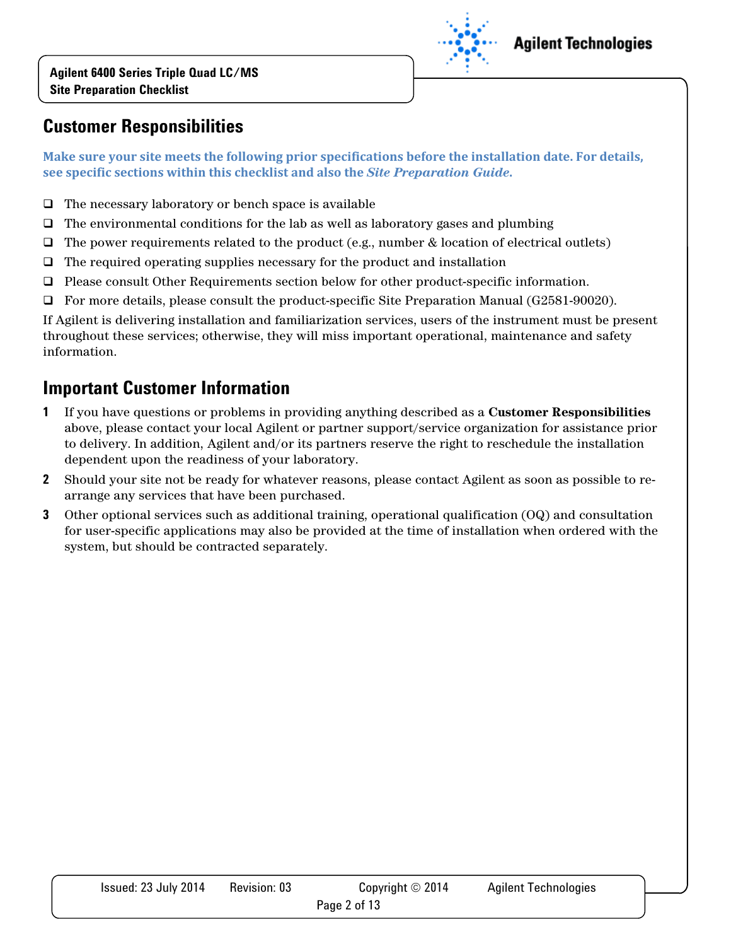

### **Agilent Technologies**

# **Customer Responsibilities**

**Make sure your site meets the following prior specifications before the installation date. For details, see specific sections within this checklist and also the** *Site Preparation Guide***.** 

- $\Box$  The necessary laboratory or bench space is available
- $\Box$  The environmental conditions for the lab as well as laboratory gases and plumbing
- $\Box$  The power requirements related to the product (e.g., number & location of electrical outlets)
- $\Box$  The required operating supplies necessary for the product and installation
- Please consult Other Requirements section below for other product-specific information.
- For more details, please consult the product-specific Site Preparation Manual (G2581-90020).

If Agilent is delivering installation and familiarization services, users of the instrument must be present throughout these services; otherwise, they will miss important operational, maintenance and safety information.

# **Important Customer Information**

- **1** If you have questions or problems in providing anything described as a **Customer Responsibilities** above, please contact your local Agilent or partner support/service organization for assistance prior to delivery. In addition, Agilent and/or its partners reserve the right to reschedule the installation dependent upon the readiness of your laboratory.
- **2** Should your site not be ready for whatever reasons, please contact Agilent as soon as possible to rearrange any services that have been purchased.
- **3** Other optional services such as additional training, operational qualification (OQ) and consultation for user-specific applications may also be provided at the time of installation when ordered with the system, but should be contracted separately.

| Issued: 23 July 2014 | Revision: 03 | Copyright $\odot$ 2014 | <b>Agilent Technologies</b> |
|----------------------|--------------|------------------------|-----------------------------|
|                      |              | Page 2 of 13           |                             |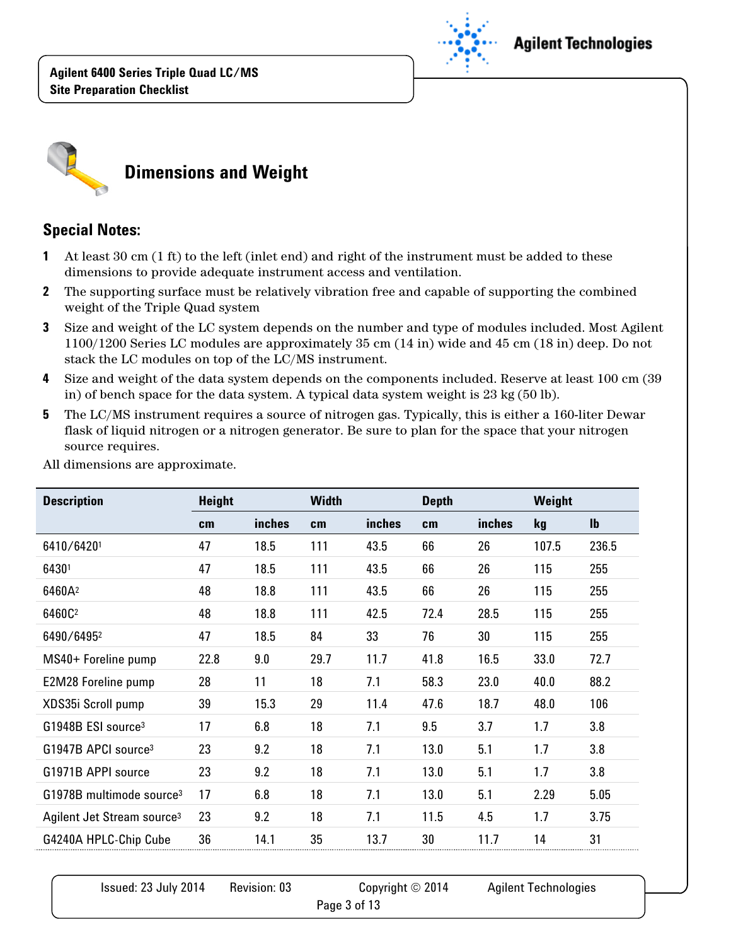



#### **Special Notes:**

- **1** At least 30 cm (1 ft) to the left (inlet end) and right of the instrument must be added to these dimensions to provide adequate instrument access and ventilation.
- **2** The supporting surface must be relatively vibration free and capable of supporting the combined weight of the Triple Quad system
- **3** Size and weight of the LC system depends on the number and type of modules included. Most Agilent 1100/1200 Series LC modules are approximately 35 cm (14 in) wide and 45 cm (18 in) deep. Do not stack the LC modules on top of the LC/MS instrument.
- **4** Size and weight of the data system depends on the components included. Reserve at least 100 cm (39 in) of bench space for the data system. A typical data system weight is 23 kg (50 lb).
- **5** The LC/MS instrument requires a source of nitrogen gas. Typically, this is either a 160-liter Dewar flask of liquid nitrogen or a nitrogen generator. Be sure to plan for the space that your nitrogen source requires.

| <b>Description</b>                     | <b>Height</b> |        | <b>Width</b> |        | <b>Depth</b> |        | Weight    |                |
|----------------------------------------|---------------|--------|--------------|--------|--------------|--------|-----------|----------------|
|                                        | cm            | inches | cm           | inches | cm           | inches | <b>kg</b> | I <sub>b</sub> |
| 6410/64201                             | 47            | 18.5   | 111          | 43.5   | 66           | 26     | 107.5     | 236.5          |
| 64301                                  | 47            | 18.5   | 111          | 43.5   | 66           | 26     | 115       | 255            |
| 6460A <sup>2</sup>                     | 48            | 18.8   | 111          | 43.5   | 66           | 26     | 115       | 255            |
| 6460C <sup>2</sup>                     | 48            | 18.8   | 111          | 42.5   | 72.4         | 28.5   | 115       | 255            |
| 6490/64952                             | 47            | 18.5   | 84           | 33     | 76           | 30     | 115       | 255            |
| MS40+ Foreline pump                    | 22.8          | 9.0    | 29.7         | 11.7   | 41.8         | 16.5   | 33.0      | 72.7           |
| E2M28 Foreline pump                    | 28            | 11     | 18           | 7.1    | 58.3         | 23.0   | 40.0      | 88.2           |
| XDS35i Scroll pump                     | 39            | 15.3   | 29           | 11.4   | 47.6         | 18.7   | 48.0      | 106            |
| G1948B ESI source <sup>3</sup>         | 17            | 6.8    | 18           | 7.1    | 9.5          | 3.7    | 1.7       | 3.8            |
| G1947B APCI source <sup>3</sup>        | 23            | 9.2    | 18           | 7.1    | 13.0         | 5.1    | 1.7       | 3.8            |
| G1971B APPI source                     | 23            | 9.2    | 18           | 7.1    | 13.0         | 5.1    | 1.7       | 3.8            |
| G1978B multimode source <sup>3</sup>   | 17            | 6.8    | 18           | 7.1    | 13.0         | 5.1    | 2.29      | 5.05           |
| Agilent Jet Stream source <sup>3</sup> | 23            | 9.2    | 18           | 7.1    | 11.5         | 4.5    | 1.7       | 3.75           |
| G4240A HPLC-Chip Cube                  | 36            | 14.1   | 35           | 13.7   | 30           | 11.7   | 14        | 31             |
|                                        |               |        |              |        |              |        |           |                |

All dimensions are approximate.

| Issued: 23 July 2014 | Revision: 03 | Copyright $\odot$ 2014 | <b>Agilent Technologies</b> |
|----------------------|--------------|------------------------|-----------------------------|
|                      |              | Page 3 of 13           |                             |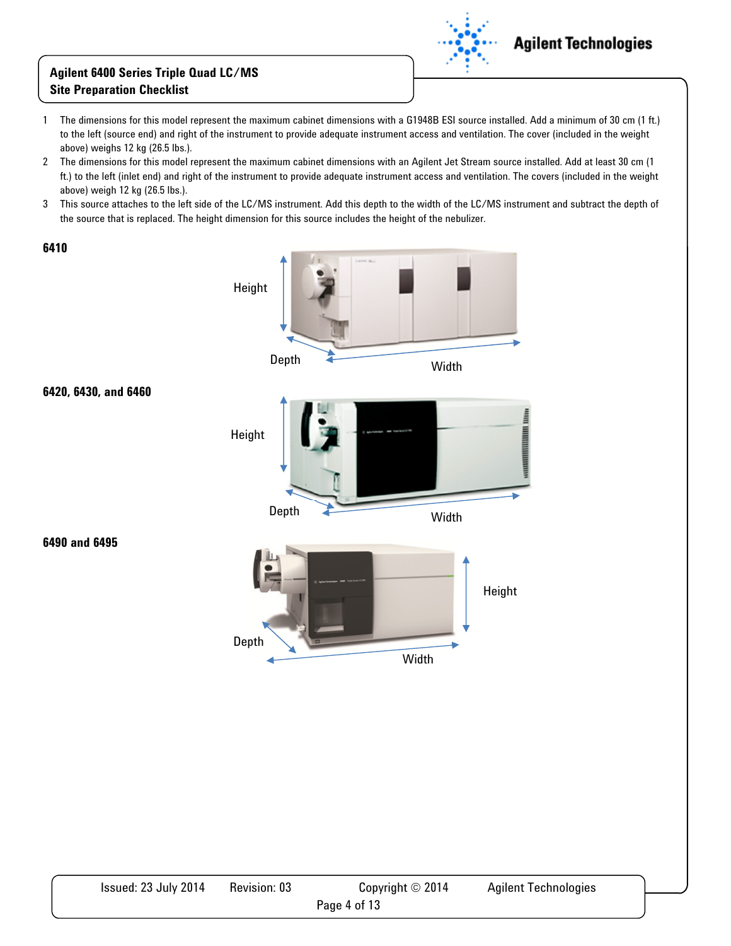

- 1 The dimensions for this model represent the maximum cabinet dimensions with a G1948B ESI source installed. Add a minimum of 30 cm (1 ft.) to the left (source end) and right of the instrument to provide adequate instrument access and ventilation. The cover (included in the weight above) weighs 12 kg (26.5 lbs.).
- 2 The dimensions for this model represent the maximum cabinet dimensions with an Agilent Jet Stream source installed. Add at least 30 cm (1 ft.) to the left (inlet end) and right of the instrument to provide adequate instrument access and ventilation. The covers (included in the weight above) weigh 12 kg (26.5 lbs.).
- 3 This source attaches to the left side of the LC/MS instrument. Add this depth to the width of the LC/MS instrument and subtract the depth of the source that is replaced. The height dimension for this source includes the height of the nebulizer.





**6490 and 6495** 

**6420, 6430, and 6460** 

| Issued: 23 July 2014 | Revision: 03 | Copyright $\odot$ 2014 | <b>Agilent Technologies</b> |
|----------------------|--------------|------------------------|-----------------------------|
|                      |              | Page 4 of 13           |                             |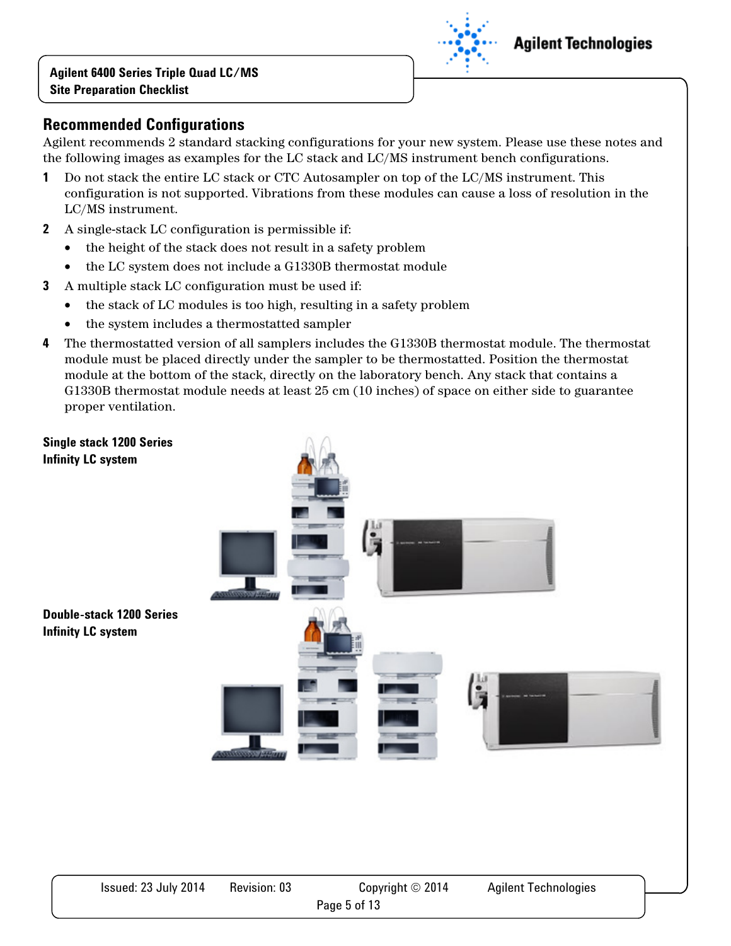

Agilent recommends 2 standard stacking configurations for your new system. Please use these notes and the following images as examples for the LC stack and LC/MS instrument bench configurations.

- **1** Do not stack the entire LC stack or CTC Autosampler on top of the LC/MS instrument. This configuration is not supported. Vibrations from these modules can cause a loss of resolution in the LC/MS instrument.
- **2** A single-stack LC configuration is permissible if:
	- the height of the stack does not result in a safety problem
	- the LC system does not include a G1330B thermostat module
- **3** A multiple stack LC configuration must be used if:
	- the stack of LC modules is too high, resulting in a safety problem
	- the system includes a thermostatted sampler
- **4** The thermostatted version of all samplers includes the G1330B thermostat module. The thermostat module must be placed directly under the sampler to be thermostatted. Position the thermostat module at the bottom of the stack, directly on the laboratory bench. Any stack that contains a G1330B thermostat module needs at least 25 cm (10 inches) of space on either side to guarantee proper ventilation.



## **Agilent Technologies**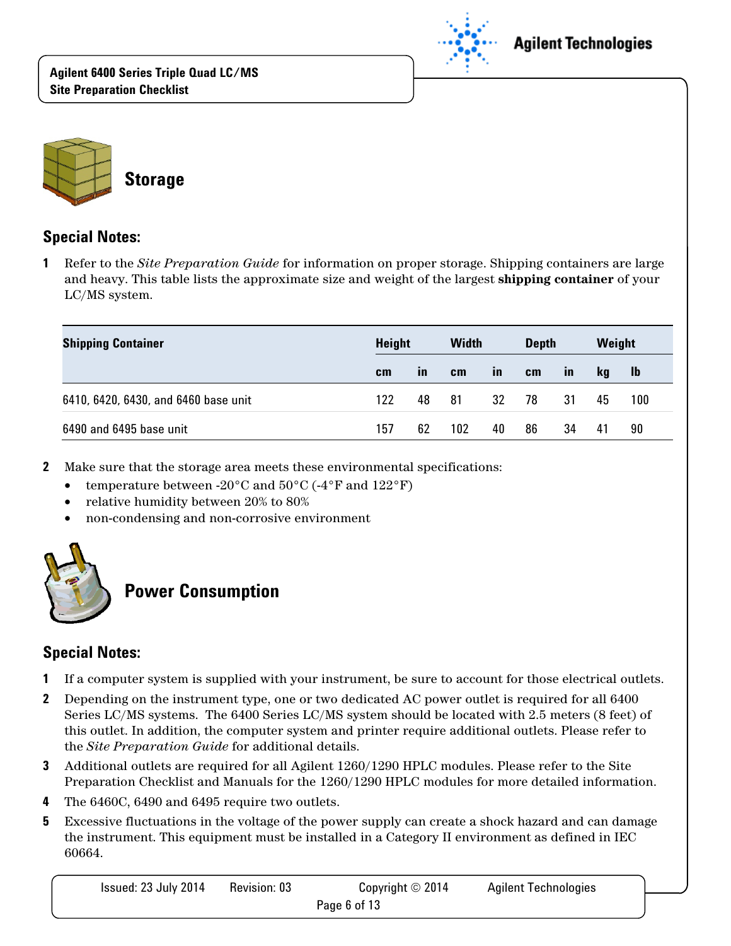



#### **Special Notes:**

**1** Refer to the *Site Preparation Guide* for information on proper storage. Shipping containers are large and heavy. This table lists the approximate size and weight of the largest **shipping container** of your LC/MS system.

| <b>Shipping Container</b>            | Height |              | <b>Width</b> |              | <b>Depth</b> |              | Weight |     |
|--------------------------------------|--------|--------------|--------------|--------------|--------------|--------------|--------|-----|
|                                      | cm     | $\mathbf{m}$ | cm           | $\mathbf{m}$ | cm           | $\mathbf{m}$ | kq     | -lb |
| 6410, 6420, 6430, and 6460 base unit | 122    | 48           | 81           | 32           | 78           | 31           | 45     | 100 |
| 6490 and 6495 base unit              | 157    | 62           | 102          | 40           | 86           | 34           | 41     | 90  |

- **2** Make sure that the storage area meets these environmental specifications:
	- temperature between -20 $\rm{^{\circ}C}$  and  $\rm{50\,^{\circ}C}$  (-4 $\rm{^{\circ}F}$  and  $\rm{122\,^{\circ}F})$
	- relative humidity between 20% to 80%
	- non-condensing and non-corrosive environment



# **Power Consumption**

#### **Special Notes:**

- **1** If a computer system is supplied with your instrument, be sure to account for those electrical outlets.
- **2** Depending on the instrument type, one or two dedicated AC power outlet is required for all 6400 Series LC/MS systems. The 6400 Series LC/MS system should be located with 2.5 meters (8 feet) of this outlet. In addition, the computer system and printer require additional outlets. Please refer to the *Site Preparation Guide* for additional details.
- **3** Additional outlets are required for all Agilent 1260/1290 HPLC modules. Please refer to the Site Preparation Checklist and Manuals for the 1260/1290 HPLC modules for more detailed information.
- **4** The 6460C, 6490 and 6495 require two outlets.
- **5** Excessive fluctuations in the voltage of the power supply can create a shock hazard and can damage the instrument. This equipment must be installed in a Category II environment as defined in IEC 60664.

| Issued: 23 July 2014 | <b>Revision: 03</b> | Copyright $\odot$ 2014 | <b>Agilent Technologies</b> |
|----------------------|---------------------|------------------------|-----------------------------|
|                      |                     | Page 6 of 13           |                             |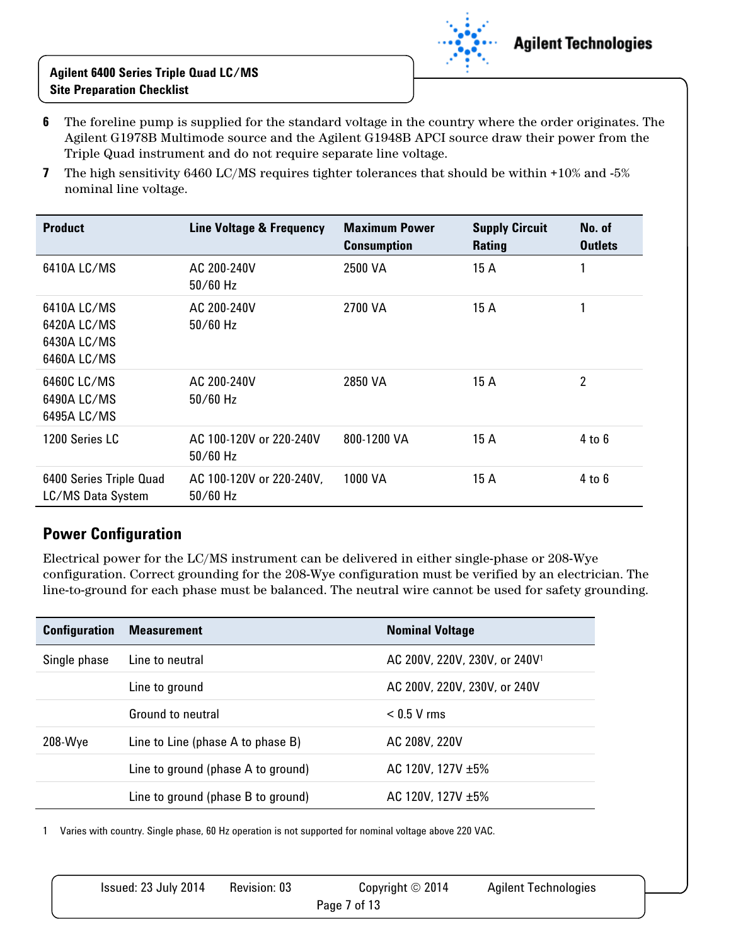

- **6** The foreline pump is supplied for the standard voltage in the country where the order originates. The Agilent G1978B Multimode source and the Agilent G1948B APCI source draw their power from the Triple Quad instrument and do not require separate line voltage.
- **7** The high sensitivity 6460 LC/MS requires tighter tolerances that should be within +10% and -5% nominal line voltage.

| <b>Product</b>                                           | Line Voltage & Frequency               | <b>Maximum Power</b><br><b>Consumption</b> | <b>Supply Circuit</b><br><b>Rating</b> | No. of<br><b>Outlets</b> |
|----------------------------------------------------------|----------------------------------------|--------------------------------------------|----------------------------------------|--------------------------|
| 6410A LC/MS                                              | AC 200-240V<br>$50/60$ Hz              | 2500 VA                                    | 15 A                                   | 1                        |
| 6410A LC/MS<br>6420A LC/MS<br>6430A LC/MS<br>6460A LC/MS | AC 200-240V<br>$50/60$ Hz              | 2700 VA                                    | 15 A                                   |                          |
| 6460C LC/MS<br>6490A LC/MS<br>6495A LC/MS                | AC 200-240V<br>$50/60$ Hz              | 2850 VA                                    | 15 A                                   | 2                        |
| 1200 Series LC                                           | AC 100-120V or 220-240V<br>$50/60$ Hz  | 800-1200 VA                                | 15 A                                   | 4 to 6                   |
| 6400 Series Triple Quad<br>LC/MS Data System             | AC 100-120V or 220-240V,<br>$50/60$ Hz | 1000 VA                                    | 15 A                                   | 4 to 6                   |

### **Power Configuration**

Electrical power for the LC/MS instrument can be delivered in either single-phase or 208-Wye configuration. Correct grounding for the 208-Wye configuration must be verified by an electrician. The line-to-ground for each phase must be balanced. The neutral wire cannot be used for safety grounding.

| <b>Configuration</b> | <b>Measurement</b>                 | <b>Nominal Voltage</b>                    |
|----------------------|------------------------------------|-------------------------------------------|
| Single phase         | Line to neutral                    | AC 200V, 220V, 230V, or 240V <sup>1</sup> |
|                      | Line to ground                     | AC 200V, 220V, 230V, or 240V              |
|                      | Ground to neutral                  | $< 0.5$ V rms                             |
| 208-Wye              | Line to Line (phase A to phase B)  | AC 208V, 220V                             |
|                      | Line to ground (phase A to ground) | AC 120V, 127V $\pm 5\%$                   |
|                      | Line to ground (phase B to ground) | AC 120V, 127V $\pm$ 5%                    |

1 Varies with country. Single phase, 60 Hz operation is not supported for nominal voltage above 220 VAC.

| Issued: 23 July 2014 | Revision: 03 | Copyright $\odot$ 2014 | <b>Agilent Technologies</b> |  |
|----------------------|--------------|------------------------|-----------------------------|--|
|                      |              | Page 7 of 13           |                             |  |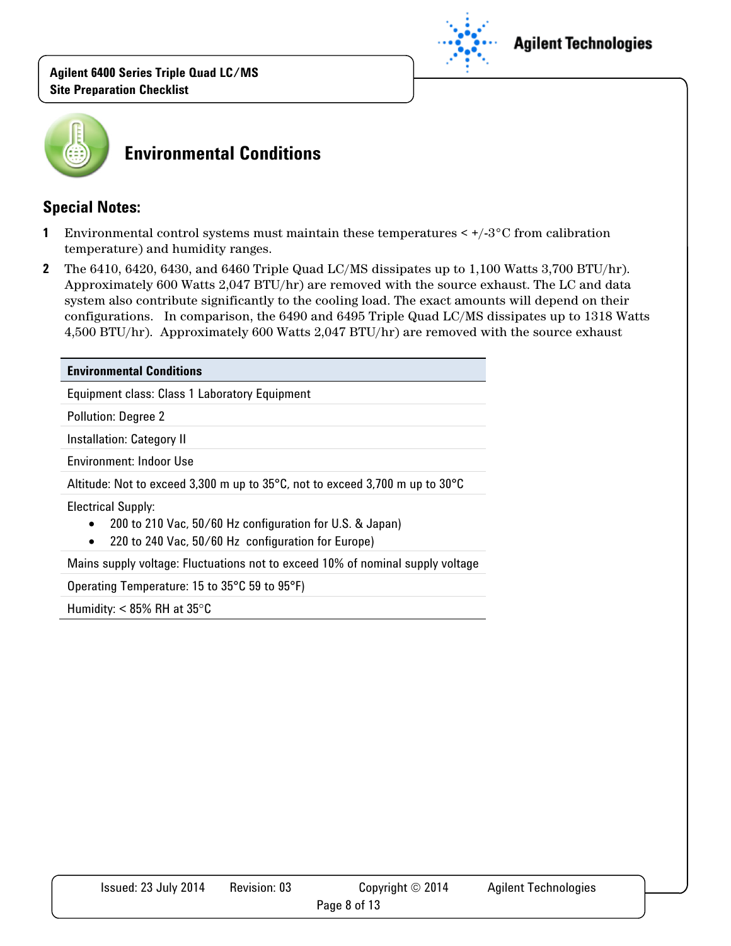

#### **Agilent Technologies**



## **Environmental Conditions**

#### **Special Notes:**

- **1** Environmental control systems must maintain these temperatures < +/-3°C from calibration temperature) and humidity ranges.
- **2** The 6410, 6420, 6430, and 6460 Triple Quad LC/MS dissipates up to 1,100 Watts 3,700 BTU/hr). Approximately 600 Watts 2,047 BTU/hr) are removed with the source exhaust. The LC and data system also contribute significantly to the cooling load. The exact amounts will depend on their configurations. In comparison, the 6490 and 6495 Triple Quad LC/MS dissipates up to 1318 Watts 4,500 BTU/hr). Approximately 600 Watts 2,047 BTU/hr) are removed with the source exhaust

## **Environmental Conditions**  Equipment class: Class 1 Laboratory Equipment Pollution: Degree 2 Installation: Category II Environment: Indoor Use Altitude: Not to exceed 3,300 m up to 35°C, not to exceed 3,700 m up to 30°C Electrical Supply: • 200 to 210 Vac, 50/60 Hz configuration for U.S. & Japan) • 220 to 240 Vac, 50/60 Hz configuration for Europe) Mains supply voltage: Fluctuations not to exceed 10% of nominal supply voltage Operating Temperature: 15 to 35°C 59 to 95°F)

Humidity:  $< 85\%$  RH at 35 $\degree$ C

| Issued: 23 July 2014 | Revision: 03 | Copyright $\odot$ 2014 | <b>Agilent Technologies</b> |
|----------------------|--------------|------------------------|-----------------------------|
|                      |              | Page 8 of 13           |                             |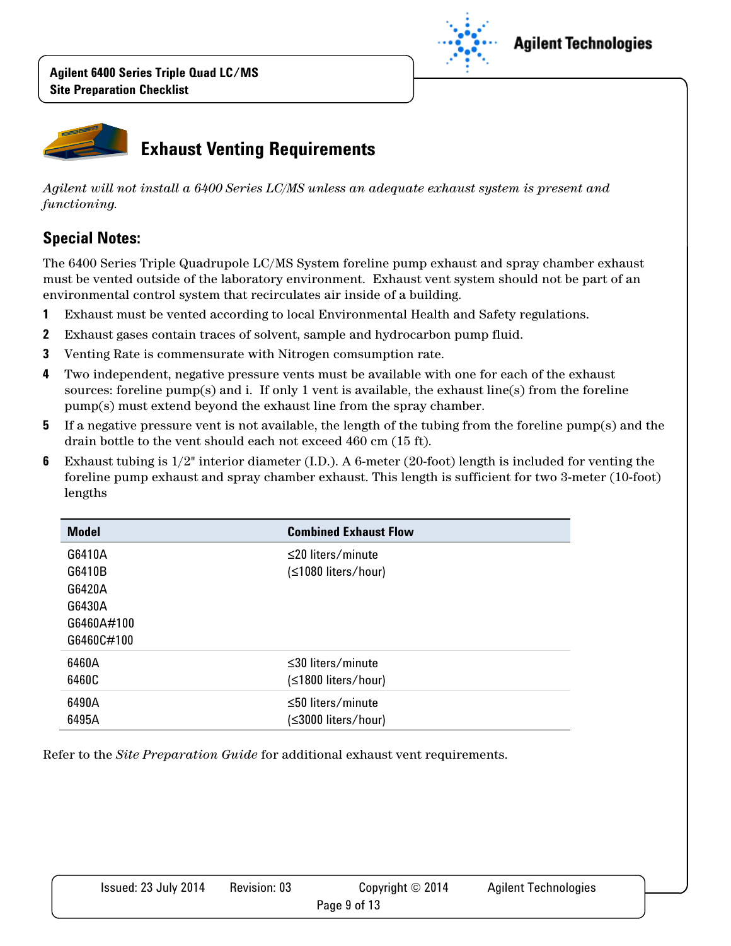

### **Agilent Technologies**



*Agilent will not install a 6400 Series LC/MS unless an adequate exhaust system is present and functioning.* 

### **Special Notes:**

The 6400 Series Triple Quadrupole LC/MS System foreline pump exhaust and spray chamber exhaust must be vented outside of the laboratory environment. Exhaust vent system should not be part of an environmental control system that recirculates air inside of a building.

- **1** Exhaust must be vented according to local Environmental Health and Safety regulations.
- **2** Exhaust gases contain traces of solvent, sample and hydrocarbon pump fluid.
- **3** Venting Rate is commensurate with Nitrogen comsumption rate.
- **4** Two independent, negative pressure vents must be available with one for each of the exhaust sources: foreline  $pump(s)$  and i. If only 1 vent is available, the exhaust line(s) from the foreline pump(s) must extend beyond the exhaust line from the spray chamber.
- **5** If a negative pressure vent is not available, the length of the tubing from the foreline pump(s) and the drain bottle to the vent should each not exceed 460 cm (15 ft).
- **6** Exhaust tubing is 1/2" interior diameter (I.D.). A 6-meter (20-foot) length is included for venting the foreline pump exhaust and spray chamber exhaust. This length is sufficient for two 3-meter (10-foot) lengths

| <b>Model</b> | <b>Combined Exhaust Flow</b> |
|--------------|------------------------------|
| G6410A       | $\leq$ 20 liters/minute      |
| G6410B       | (≤1080 liters/hour)          |
| G6420A       |                              |
| G6430A       |                              |
| G6460A#100   |                              |
| G6460C#100   |                              |
| 6460A        | $\leq$ 30 liters/minute      |
| 6460C        | (≤1800 liters/hour)          |
| 6490A        | $\leq 50$ liters/minute      |
| 6495A        | (≤3000 liters/hour)          |

Refer to the *Site Preparation Guide* for additional exhaust vent requirements.

| Issued: 23 July 2014 | <b>Revision: 03</b> | Copyright $\odot$ 2014 | <b>Agilent Technologies</b> |
|----------------------|---------------------|------------------------|-----------------------------|
|                      |                     | Page 9 of 13           |                             |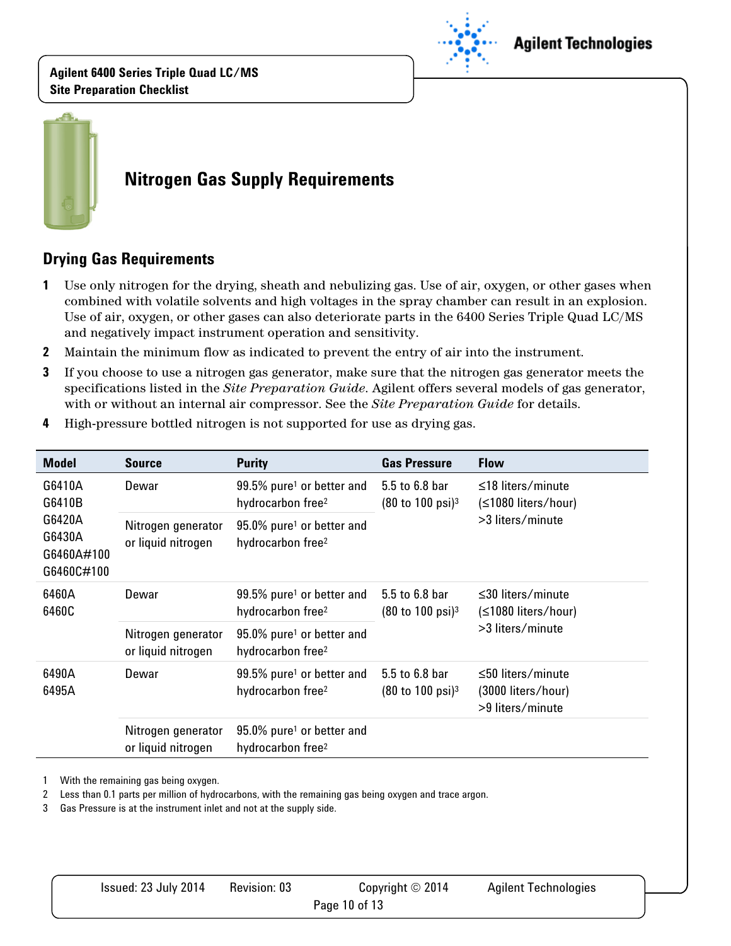

### **Agilent Technologies**



# **Nitrogen Gas Supply Requirements**

### **Drying Gas Requirements**

- **1** Use only nitrogen for the drying, sheath and nebulizing gas. Use of air, oxygen, or other gases when combined with volatile solvents and high voltages in the spray chamber can result in an explosion. Use of air, oxygen, or other gases can also deteriorate parts in the 6400 Series Triple Quad LC/MS and negatively impact instrument operation and sensitivity.
- **2** Maintain the minimum flow as indicated to prevent the entry of air into the instrument.
- **3** If you choose to use a nitrogen gas generator, make sure that the nitrogen gas generator meets the specifications listed in the *Site Preparation Guide*. Agilent offers several models of gas generator, with or without an internal air compressor. See the *Site Preparation Guide* for details.

| <b>Model</b>                                                     | <b>Source</b>                            | <b>Purity</b>                                                          | <b>Gas Pressure</b>                                               | <b>Flow</b>                                                        |
|------------------------------------------------------------------|------------------------------------------|------------------------------------------------------------------------|-------------------------------------------------------------------|--------------------------------------------------------------------|
| G6410A<br>G6410B<br>G6420A<br>G6430A<br>G6460A#100<br>G6460C#100 | Dewar                                    | 99.5% pure <sup>1</sup> or better and<br>hydrocarbon free <sup>2</sup> | 5.5 to 6.8 bar<br>$(80 \text{ to } 100 \text{ psi})^3$            | $\leq$ 18 liters/minute<br>(≤1080 liters/hour)                     |
|                                                                  | Nitrogen generator<br>or liquid nitrogen | 95.0% pure <sup>1</sup> or better and<br>hydrocarbon free <sup>2</sup> |                                                                   | $>3$ liters/minute                                                 |
| 6460A<br>6460C                                                   | Dewar                                    | 99.5% pure <sup>1</sup> or better and<br>hydrocarbon free <sup>2</sup> | 5.5 to 6.8 bar<br>$(80 \text{ to } 100 \text{ psi})^3$            | $\leq$ 30 liters/minute<br>(≤1080 liters/hour)<br>>3 liters/minute |
|                                                                  | Nitrogen generator<br>or liquid nitrogen | 95.0% pure <sup>1</sup> or better and<br>hydrocarbon free <sup>2</sup> |                                                                   |                                                                    |
| 6490A<br>6495A                                                   | Dewar                                    | 99.5% pure <sup>1</sup> or better and<br>hydrocarbon free <sup>2</sup> | 5.5 to 6.8 bar<br>$(80 \text{ to } 100 \text{ psi})$ <sup>3</sup> | ≤50 liters/minute<br>(3000 liters/hour)<br>>9 liters/minute        |
|                                                                  | Nitrogen generator<br>or liquid nitrogen | 95.0% pure <sup>1</sup> or better and<br>hydrocarbon free <sup>2</sup> |                                                                   |                                                                    |

**4** High-pressure bottled nitrogen is not supported for use as drying gas.

1 With the remaining gas being oxygen.

2 Less than 0.1 parts per million of hydrocarbons, with the remaining gas being oxygen and trace argon.

3 Gas Pressure is at the instrument inlet and not at the supply side.

| Issued: 23 July 2014 | Revision: 03 | Copyright $\odot$ 2014 | <b>Agilent Technologies</b> |  |
|----------------------|--------------|------------------------|-----------------------------|--|
| Page 10 of 13        |              |                        |                             |  |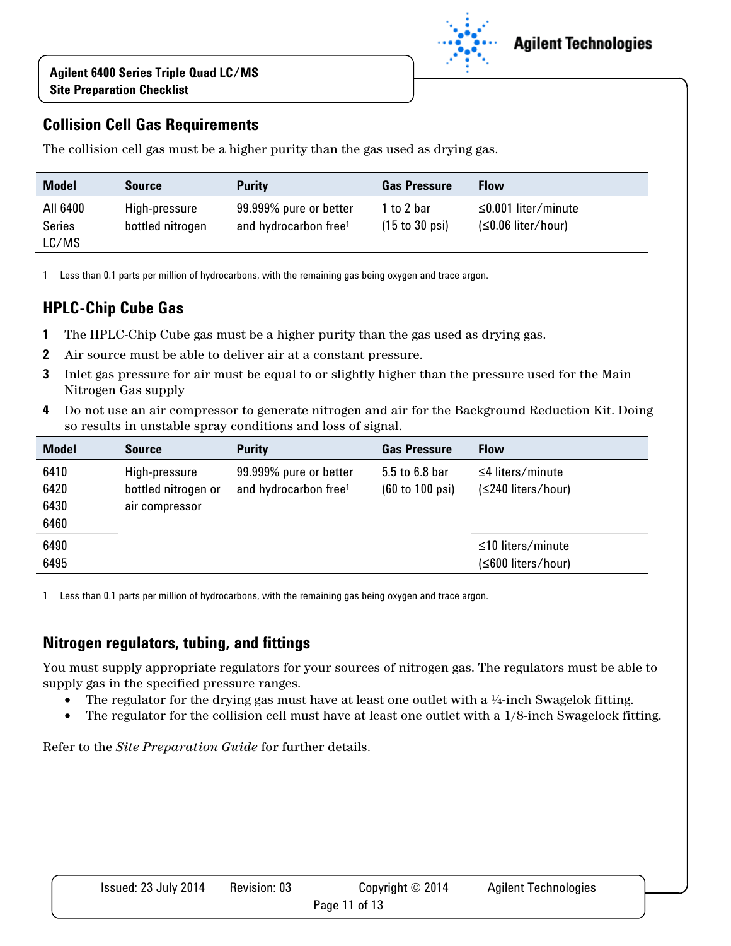

### **Collision Cell Gas Requirements**

The collision cell gas must be a higher purity than the gas used as drying gas.

| <b>Model</b>                       | <b>Source</b>                     | <b>Purity</b>                                               | <b>Gas Pressure</b>                             | <b>Flow</b>                                       |
|------------------------------------|-----------------------------------|-------------------------------------------------------------|-------------------------------------------------|---------------------------------------------------|
| All 6400<br><b>Series</b><br>LC/MS | High-pressure<br>bottled nitrogen | 99.999% pure or better<br>and hydrocarbon free <sup>1</sup> | 1 to 2 bar<br>$(15 \text{ to } 30 \text{ psi})$ | $\leq$ 0.001 liter/minute<br>$(S0.06$ liter/hour) |

1 Less than 0.1 parts per million of hydrocarbons, with the remaining gas being oxygen and trace argon.

### **HPLC-Chip Cube Gas**

- **1** The HPLC-Chip Cube gas must be a higher purity than the gas used as drying gas.
- **2** Air source must be able to deliver air at a constant pressure.
- **3** Inlet gas pressure for air must be equal to or slightly higher than the pressure used for the Main Nitrogen Gas supply
- **4** Do not use an air compressor to generate nitrogen and air for the Background Reduction Kit. Doing so results in unstable spray conditions and loss of signal.

| <b>Model</b>                 | <b>Source</b>                                          | <b>Purity</b>                                               | <b>Gas Pressure</b>                                  | <b>Flow</b>                                   |
|------------------------------|--------------------------------------------------------|-------------------------------------------------------------|------------------------------------------------------|-----------------------------------------------|
| 6410<br>6420<br>6430<br>6460 | High-pressure<br>bottled nitrogen or<br>air compressor | 99.999% pure or better<br>and hydrocarbon free <sup>1</sup> | 5.5 to 6.8 bar<br>$(60 \text{ to } 100 \text{ psi})$ | $\leq$ 4 liters/minute<br>(≤240 liters/hour)  |
| 6490<br>6495                 |                                                        |                                                             |                                                      | $\leq$ 10 liters/minute<br>(≤600 liters/hour) |

1 Less than 0.1 parts per million of hydrocarbons, with the remaining gas being oxygen and trace argon.

#### **Nitrogen regulators, tubing, and fittings**

You must supply appropriate regulators for your sources of nitrogen gas. The regulators must be able to supply gas in the specified pressure ranges.

- The regulator for the drying gas must have at least one outlet with a  $\frac{1}{4}$ -inch Swagelok fitting.
- The regulator for the collision cell must have at least one outlet with a  $1/8$ -inch Swagelock fitting.

Refer to the *Site Preparation Guide* for further details.

| Issued: 23 July 2014 | Revision: 03 | Copyright $\odot$ 2014 | <b>Agilent Technologies</b> |
|----------------------|--------------|------------------------|-----------------------------|
|                      |              | Page 11 of 13          |                             |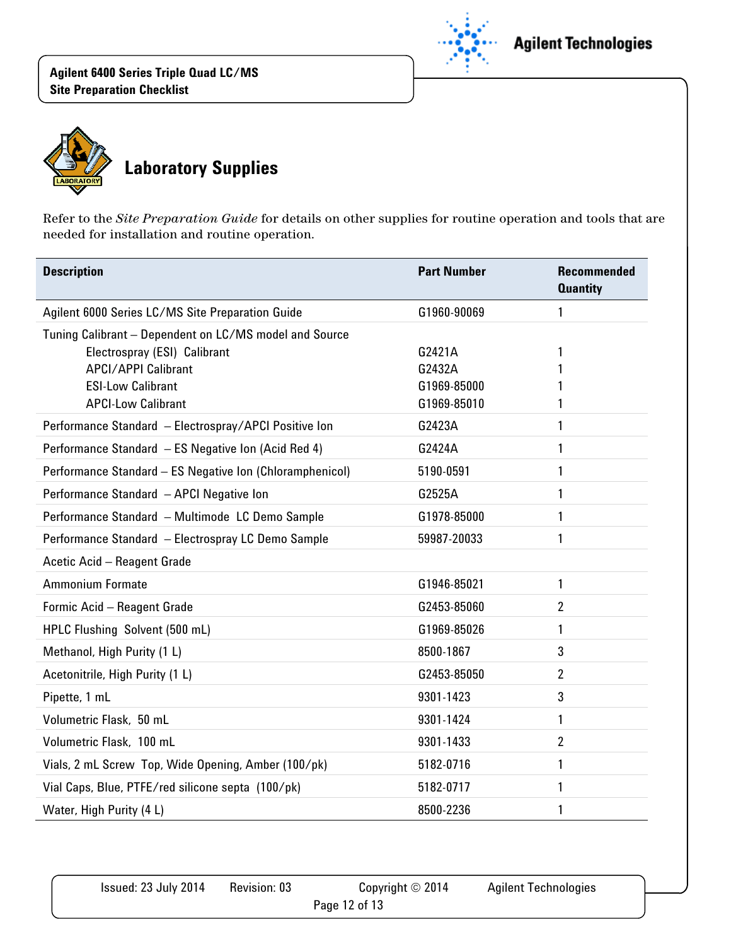

# **Agilent Technologies**



Refer to the *Site Preparation Guide* for details on other supplies for routine operation and tools that are needed for installation and routine operation.

| <b>Description</b>                                       | <b>Part Number</b>         | <b>Recommended</b><br><b>Quantity</b> |
|----------------------------------------------------------|----------------------------|---------------------------------------|
| Agilent 6000 Series LC/MS Site Preparation Guide         | G1960-90069                | 1                                     |
| Tuning Calibrant - Dependent on LC/MS model and Source   |                            |                                       |
| Electrospray (ESI) Calibrant                             | G2421A                     | 1                                     |
| <b>APCI/APPI Calibrant</b><br><b>ESI-Low Calibrant</b>   | G2432A                     |                                       |
| <b>APCI-Low Calibrant</b>                                | G1969-85000<br>G1969-85010 |                                       |
| Performance Standard - Electrospray/APCI Positive Ion    | G2423A                     | 1                                     |
| Performance Standard - ES Negative Ion (Acid Red 4)      | G2424A                     | 1                                     |
| Performance Standard - ES Negative Ion (Chloramphenicol) | 5190-0591                  | 1                                     |
| Performance Standard - APCI Negative Ion                 | G2525A                     | 1                                     |
| Performance Standard - Multimode LC Demo Sample          | G1978-85000                | 1                                     |
| Performance Standard - Electrospray LC Demo Sample       | 59987-20033                | 1                                     |
| Acetic Acid - Reagent Grade                              |                            |                                       |
| <b>Ammonium Formate</b>                                  | G1946-85021                | 1                                     |
| Formic Acid - Reagent Grade                              | G2453-85060                | $\overline{2}$                        |
| HPLC Flushing Solvent (500 mL)                           | G1969-85026                | 1                                     |
| Methanol, High Purity (1 L)                              | 8500-1867                  | 3                                     |
| Acetonitrile, High Purity (1 L)                          | G2453-85050                | $\overline{2}$                        |
| Pipette, 1 mL                                            | 9301-1423                  | 3                                     |
| Volumetric Flask, 50 mL                                  | 9301-1424                  | 1                                     |
| Volumetric Flask, 100 mL                                 | 9301-1433                  | $\overline{2}$                        |
| Vials, 2 mL Screw Top, Wide Opening, Amber (100/pk)      | 5182-0716                  | 1                                     |
| Vial Caps, Blue, PTFE/red silicone septa (100/pk)        | 5182-0717                  | 1                                     |
| Water, High Purity (4 L)                                 | 8500-2236                  | 1                                     |

| Issued: 23 July 2014 | <b>Revision: 03</b> | Copyright $\odot$ 2014 | <b>Agilent Technologies</b> |  |
|----------------------|---------------------|------------------------|-----------------------------|--|
| Page 12 of 13        |                     |                        |                             |  |